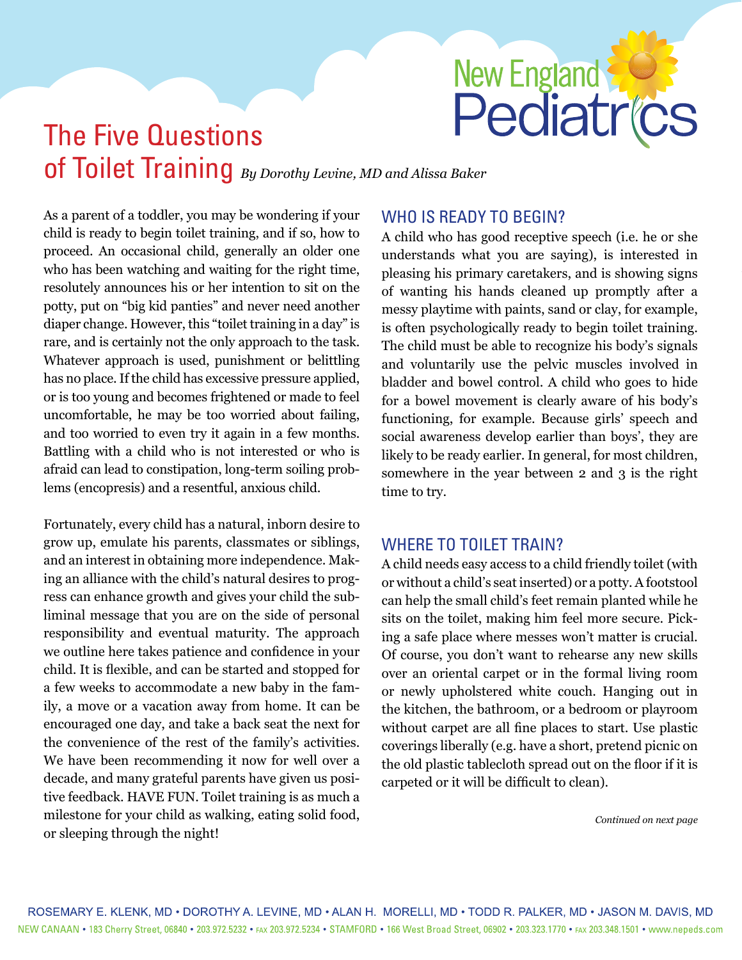# New England

# The Five Questions of Toilet Training *By Dorothy Levine, MD and Alissa Baker*

As a parent of a toddler, you may be wondering if your child is ready to begin toilet training, and if so, how to proceed. An occasional child, generally an older one who has been watching and waiting for the right time, resolutely announces his or her intention to sit on the potty, put on "big kid panties" and never need another diaper change. However, this "toilet training in a day" is rare, and is certainly not the only approach to the task. Whatever approach is used, punishment or belittling has no place. If the child has excessive pressure applied, or is too young and becomes frightened or made to feel uncomfortable, he may be too worried about failing, and too worried to even try it again in a few months. Battling with a child who is not interested or who is afraid can lead to constipation, long-term soiling problems (encopresis) and a resentful, anxious child.

Fortunately, every child has a natural, inborn desire to grow up, emulate his parents, classmates or siblings, and an interest in obtaining more independence. Making an alliance with the child's natural desires to progress can enhance growth and gives your child the subliminal message that you are on the side of personal responsibility and eventual maturity. The approach we outline here takes patience and confidence in your child. It is flexible, and can be started and stopped for a few weeks to accommodate a new baby in the family, a move or a vacation away from home. It can be encouraged one day, and take a back seat the next for the convenience of the rest of the family's activities. We have been recommending it now for well over a decade, and many grateful parents have given us positive feedback. HAVE FUN. Toilet training is as much a milestone for your child as walking, eating solid food, or sleeping through the night!

# WHO IS READY TO BEGIN?

A child who has good receptive speech (i.e. he or she understands what you are saying), is interested in pleasing his primary caretakers, and is showing signs of wanting his hands cleaned up promptly after a messy playtime with paints, sand or clay, for example, is often psychologically ready to begin toilet training. The child must be able to recognize his body's signals and voluntarily use the pelvic muscles involved in bladder and bowel control. A child who goes to hide for a bowel movement is clearly aware of his body's functioning, for example. Because girls' speech and social awareness develop earlier than boys', they are likely to be ready earlier. In general, for most children, somewhere in the year between 2 and 3 is the right time to try.

# WHERE TO TOILET TRAIN?

A child needs easy access to a child friendly toilet (with or without a child's seat inserted) or a potty. A footstool can help the small child's feet remain planted while he sits on the toilet, making him feel more secure. Picking a safe place where messes won't matter is crucial. Of course, you don't want to rehearse any new skills over an oriental carpet or in the formal living room or newly upholstered white couch. Hanging out in the kitchen, the bathroom, or a bedroom or playroom without carpet are all fine places to start. Use plastic coverings liberally (e.g. have a short, pretend picnic on the old plastic tablecloth spread out on the floor if it is carpeted or it will be difficult to clean).

*[Continued on next page](#page-1-0)*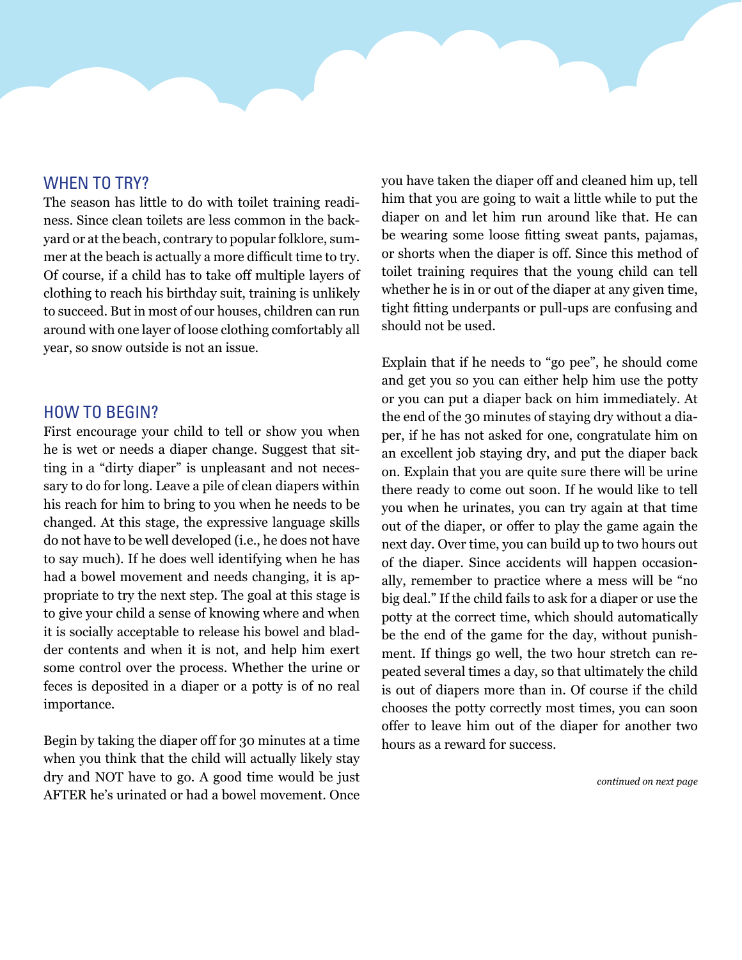#### <span id="page-1-0"></span>WHEN TO TRY?

The season has little to do with toilet training readiness. Since clean toilets are less common in the backyard or at the beach, contrary to popular folklore, summer at the beach is actually a more difficult time to try. Of course, if a child has to take off multiple layers of clothing to reach his birthday suit, training is unlikely to succeed. But in most of our houses, children can run around with one layer of loose clothing comfortably all year, so snow outside is not an issue.

#### HOW TO BEGIN?

First encourage your child to tell or show you when he is wet or needs a diaper change. Suggest that sitting in a "dirty diaper" is unpleasant and not necessary to do for long. Leave a pile of clean diapers within his reach for him to bring to you when he needs to be changed. At this stage, the expressive language skills do not have to be well developed (i.e., he does not have to say much). If he does well identifying when he has had a bowel movement and needs changing, it is appropriate to try the next step. The goal at this stage is to give your child a sense of knowing where and when it is socially acceptable to release his bowel and bladder contents and when it is not, and help him exert some control over the process. Whether the urine or feces is deposited in a diaper or a potty is of no real importance.

Begin by taking the diaper off for 30 minutes at a time when you think that the child will actually likely stay dry and NOT have to go. A good time would be just AFTER he's urinated or had a bowel movement. Once you have taken the diaper off and cleaned him up, tell him that you are going to wait a little while to put the diaper on and let him run around like that. He can be wearing some loose fitting sweat pants, pajamas, or shorts when the diaper is off. Since this method of toilet training requires that the young child can tell whether he is in or out of the diaper at any given time, tight fitting underpants or pull-ups are confusing and should not be used.

Explain that if he needs to "go pee", he should come and get you so you can either help him use the potty or you can put a diaper back on him immediately. At the end of the 30 minutes of staying dry without a diaper, if he has not asked for one, congratulate him on an excellent job staying dry, and put the diaper back on. Explain that you are quite sure there will be urine there ready to come out soon. If he would like to tell you when he urinates, you can try again at that time out of the diaper, or offer to play the game again the next day. Over time, you can build up to two hours out of the diaper. Since accidents will happen occasionally, remember to practice where a mess will be "no big deal." If the child fails to ask for a diaper or use the potty at the correct time, which should automatically be the end of the game for the day, without punishment. If things go well, the two hour stretch can repeated several times a day, so that ultimately the child is out of diapers more than in. Of course if the child chooses the potty correctly most times, you can soon offer to leave him out of the diaper for another two hours as a reward for success.

*[continued on next page](#page-2-0)*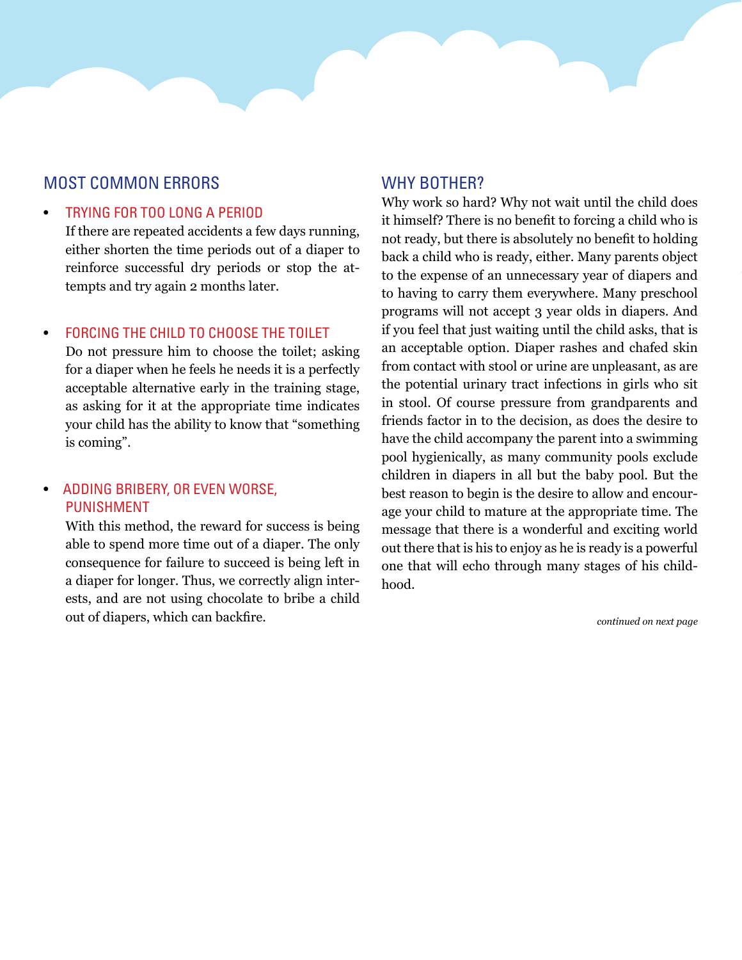## <span id="page-2-0"></span>Most common errors

#### **TRYING FOR TOO LONG A PERIOD**

If there are repeated accidents a few days running, either shorten the time periods out of a diaper to reinforce successful dry periods or stop the attempts and try again 2 months later.

#### FORCING THE CHILD TO CHOOSE THE TOILET

Do not pressure him to choose the toilet; asking for a diaper when he feels he needs it is a perfectly acceptable alternative early in the training stage, as asking for it at the appropriate time indicates your child has the ability to know that "something is coming".

#### ADDING BRIBERY, OR EVEN WORSE, **PUNISHMENT**

With this method, the reward for success is being able to spend more time out of a diaper. The only consequence for failure to succeed is being left in a diaper for longer. Thus, we correctly align interests, and are not using chocolate to bribe a child out of diapers, which can backfire.

#### WHY BOTHER?

Why work so hard? Why not wait until the child does it himself? There is no benefit to forcing a child who is not ready, but there is absolutely no benefit to holding back a child who is ready, either. Many parents object to the expense of an unnecessary year of diapers and to having to carry them everywhere. Many preschool programs will not accept 3 year olds in diapers. And if you feel that just waiting until the child asks, that is an acceptable option. Diaper rashes and chafed skin from contact with stool or urine are unpleasant, as are the potential urinary tract infections in girls who sit in stool. Of course pressure from grandparents and friends factor in to the decision, as does the desire to have the child accompany the parent into a swimming pool hygienically, as many community pools exclude children in diapers in all but the baby pool. But the best reason to begin is the desire to allow and encourage your child to mature at the appropriate time. The message that there is a wonderful and exciting world out there that is his to enjoy as he is ready is a powerful one that will echo through many stages of his childhood.

*[continued on next page](#page-3-0)*